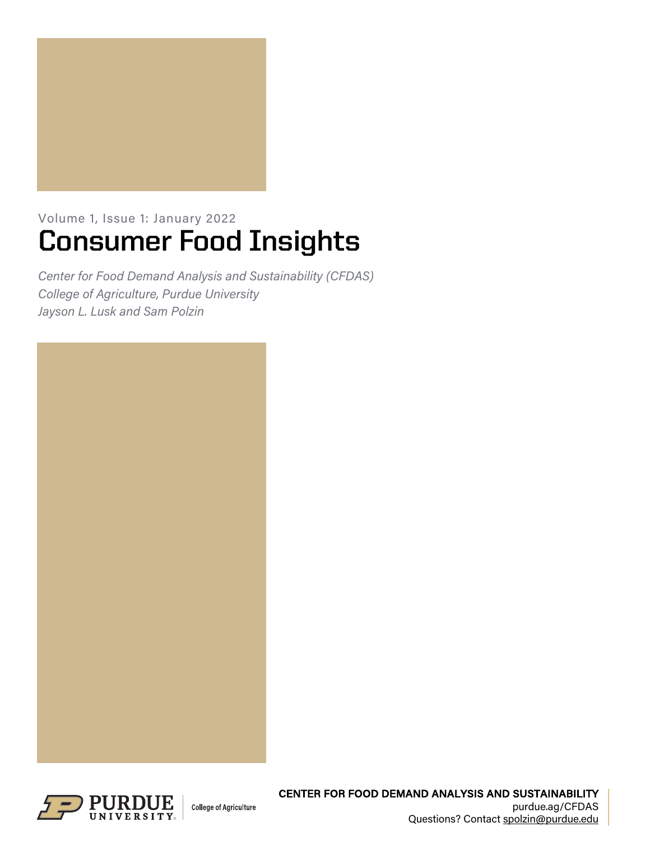

# Volume 1, Issue 1: January 2022 **Consumer Food Insights**

*Center for Food Demand Analysis and Sustainability (CFDAS) College of Agriculture, Purdue University Jayson L. Lusk and Sam Polzin*



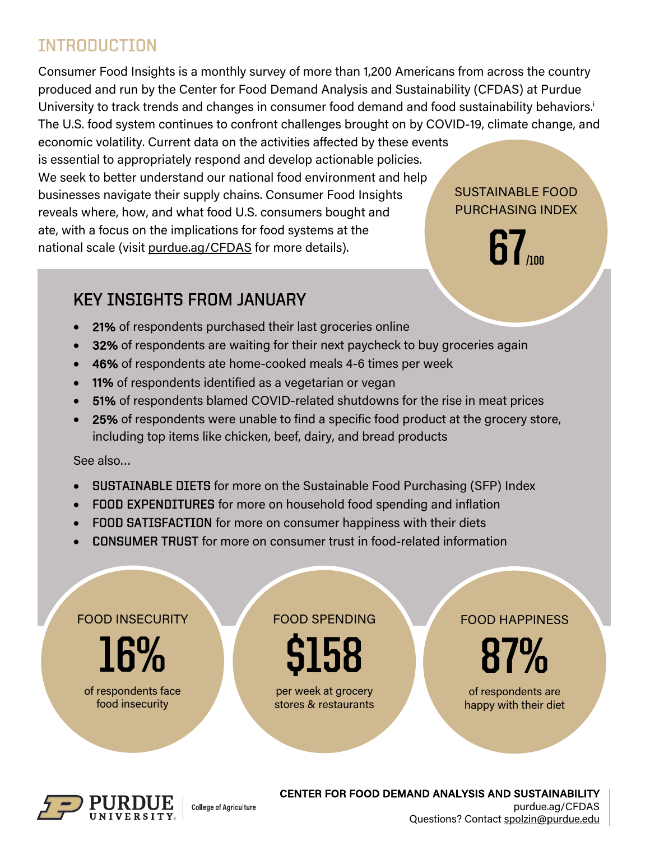## INTRODUCTION

Consumer Food Insights is a monthly survey of more than 1,200 Americans from across the country produced and run by the Center for Food Demand Analysis and Sustainability (CFDAS) at Purdue University to track trends and changes in consumer food demand and food sustainability behaviors.<sup>i</sup> The U.S. food system continues to confront challenges brought on by COVID-19, climate change, and

economic volatility. Current data on the activities affected by these events is essential to appropriately respond and develop actionable policies. We seek to better understand our national food environment and help businesses navigate their supply chains. Consumer Food Insights reveals where, how, and what food U.S. consumers bought and ate, with a focus on the implications for food systems at the national scale (visit purdue.ag/CFDAS for more details).

## SUSTAINABLE FOOD PURCHASING INDEX

**67** 

## KEY INSIGHTS FROM JANUARY

- 21% of respondents purchased their last groceries online
- 32% of respondents are waiting for their next paycheck to buy groceries again
- 46% of respondents ate home-cooked meals 4-6 times per week
- 11% of respondents identified as a vegetarian or vegan

**College of Agriculture** 

- 51% of respondents blamed COVID-related shutdowns for the rise in meat prices
- 25% of respondents were unable to find a specific food product at the grocery store, including top items like chicken, beef, dairy, and bread products

See also…

- SUSTAINABLE DIETS for more on the Sustainable Food Purchasing (SFP) Index
- FOOD EXPENDITURES for more on household food spending and inflation
- FOOD SATISFACTION for more on consumer happiness with their diets
- CONSUMER TRUST for more on consumer trust in food-related information





#### CENTER FOR FOOD DEMAND ANALYSIS AND SUSTAINABILITY purdue.ag/CFDAS Questions? Contact spolzin@purdue.edu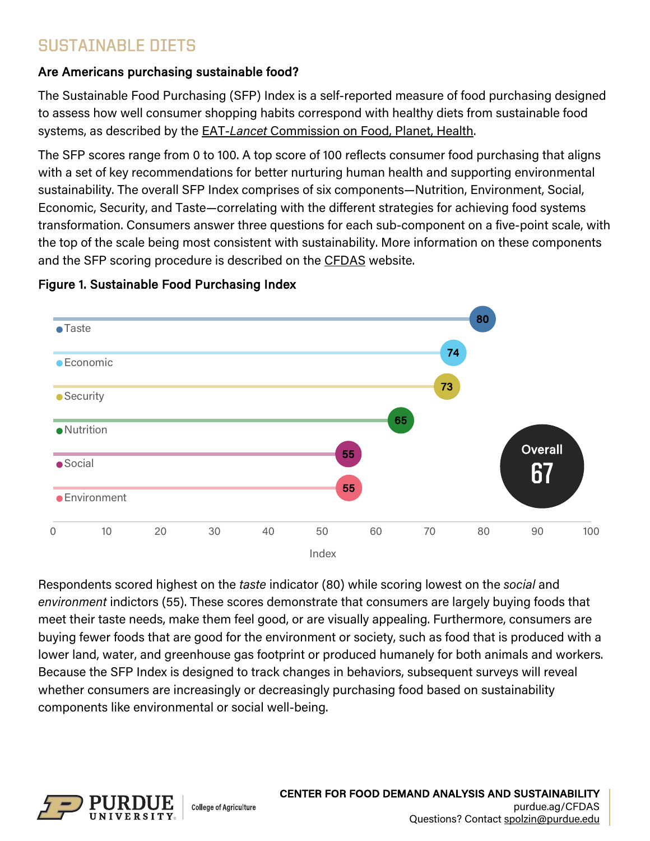## SUSTAINABLE DIETS

## Are Americans purchasing sustainable food?

The Sustainable Food Purchasing (SFP) Index is a self-reported measure of food purchasing designed to assess how well consumer shopping habits correspond with healthy diets from sustainable food systems, as described by the EAT-*Lancet* Commission on Food, Planet, Health.

The SFP scores range from 0 to 100. A top score of 100 reflects consumer food purchasing that aligns with a set of key recommendations for better nurturing human health and supporting environmental sustainability. The overall SFP Index comprises of six components—Nutrition, Environment, Social, Economic, Security, and Taste—correlating with the different strategies for achieving food systems transformation. Consumers answer three questions for each sub-component on a five-point scale, with the top of the scale being most consistent with sustainability. More information on these components and the SFP scoring procedure is described on the CFDAS website.



## Figure 1. Sustainable Food Purchasing Index

Respondents scored highest on the *taste* indicator (80) while scoring lowest on the *social* and *environment* indictors (55). These scores demonstrate that consumers are largely buying foods that meet their taste needs, make them feel good, or are visually appealing. Furthermore, consumers are buying fewer foods that are good for the environment or society, such as food that is produced with a lower land, water, and greenhouse gas footprint or produced humanely for both animals and workers. Because the SFP Index is designed to track changes in behaviors, subsequent surveys will reveal whether consumers are increasingly or decreasingly purchasing food based on sustainability components like environmental or social well-being.

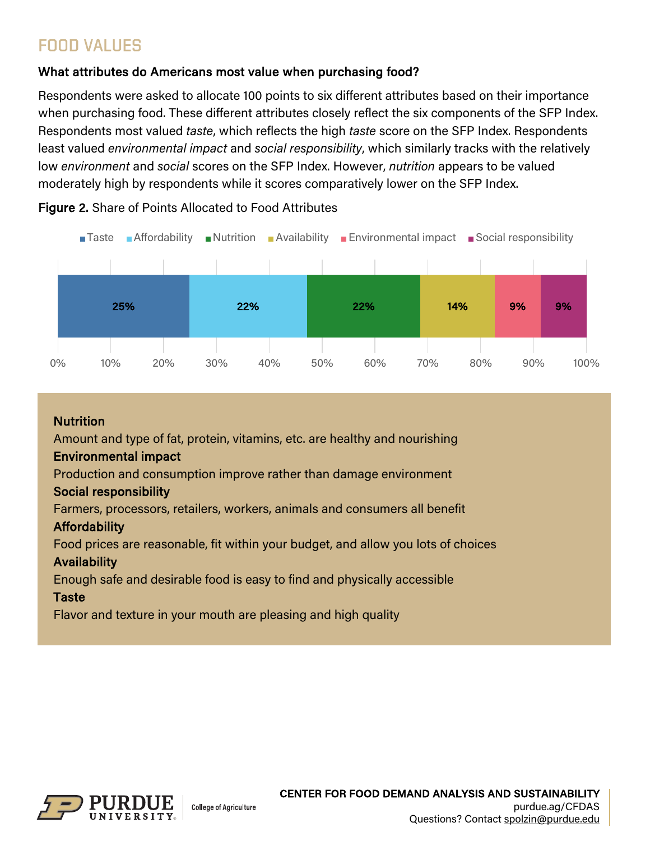## FOOD VALUES

## What attributes do Americans most value when purchasing food?

Respondents were asked to allocate 100 points to six different attributes based on their importance when purchasing food. These different attributes closely reflect the six components of the SFP Index. Respondents most valued *taste*, which reflects the high *taste* score on the SFP Index. Respondents least valued *environmental impact* and *social responsibility*, which similarly tracks with the relatively low *environment* and *social* scores on the SFP Index. However, *nutrition* appears to be valued moderately high by respondents while it scores comparatively lower on the SFP Index.



Figure 2. Share of Points Allocated to Food Attributes

### Nutrition

Amount and type of fat, protein, vitamins, etc. are healthy and nourishing

### Environmental impact

Production and consumption improve rather than damage environment

### Social responsibility

Farmers, processors, retailers, workers, animals and consumers all benefit

### **Affordability**

Food prices are reasonable, fit within your budget, and allow you lots of choices

### Availability

Enough safe and desirable food is easy to find and physically accessible

### **Taste**

Flavor and texture in your mouth are pleasing and high quality

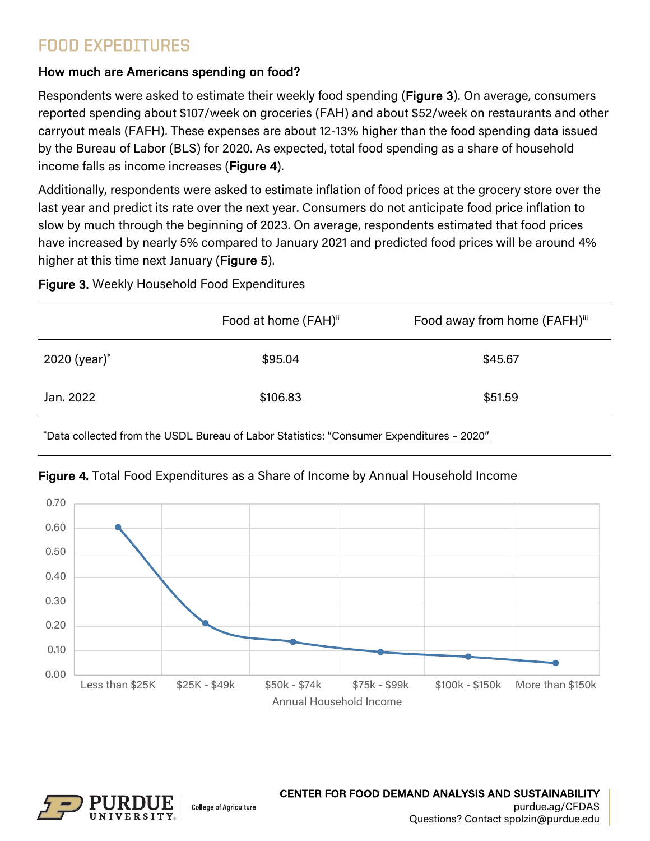## FOOD EXPEDITURES

## How much are Americans spending on food?

Respondents were asked to estimate their weekly food spending (Figure 3). On average, consumers reported spending about \$107/week on groceries (FAH) and about \$52/week on restaurants and other carryout meals (FAFH). These expenses are about 12-13% higher than the food spending data issued by the Bureau of Labor (BLS) for 2020. As expected, total food spending as a share of household income falls as income increases (Figure 4).

Additionally, respondents were asked to estimate inflation of food prices at the grocery store over the last year and predict its rate over the next year. Consumers do not anticipate food price inflation to slow by much through the beginning of 2023. On average, respondents estimated that food prices have increased by nearly 5% compared to January 2021 and predicted food prices will be around 4% higher at this time next January (Figure 5).

## Figure 3. Weekly Household Food Expenditures

|                          | Food at home (FAH) <sup>ii</sup> | Food away from home (FAFH)iii |
|--------------------------|----------------------------------|-------------------------------|
| 2020 (year) <sup>*</sup> | \$95.04                          | \$45.67                       |
| Jan. 2022                | \$106.83                         | \$51.59                       |

\* Data collected from the USDL Bureau of Labor Statistics: "Consumer Expenditures – 2020"



## Figure 4. Total Food Expenditures as a Share of Income by Annual Household Income

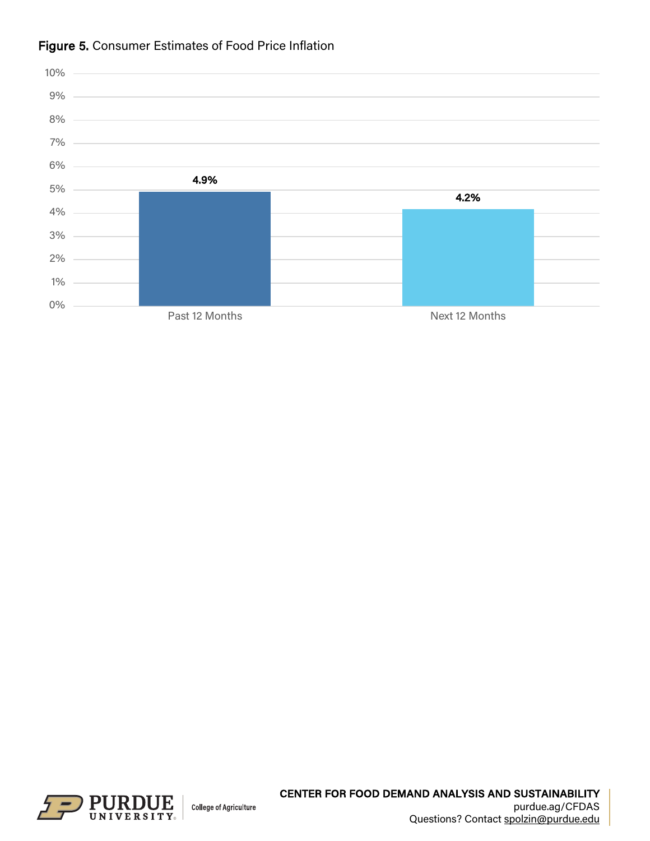

## Figure 5. Consumer Estimates of Food Price Inflation

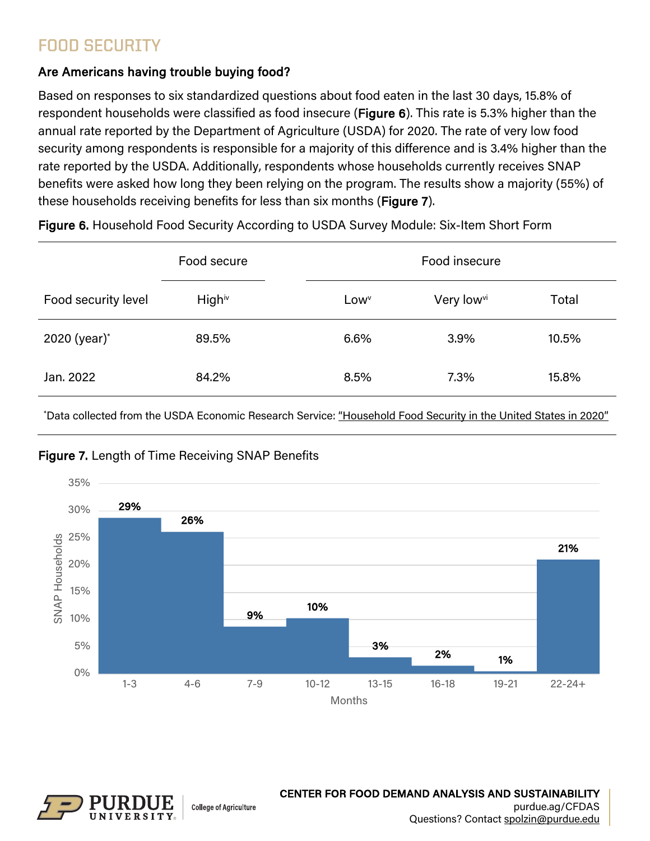## FOOD SECURITY

## Are Americans having trouble buying food?

Based on responses to six standardized questions about food eaten in the last 30 days, 15.8% of respondent households were classified as food insecure (Figure 6). This rate is 5.3% higher than the annual rate reported by the Department of Agriculture (USDA) for 2020. The rate of very low food security among respondents is responsible for a majority of this difference and is 3.4% higher than the rate reported by the USDA. Additionally, respondents whose households currently receives SNAP benefits were asked how long they been relying on the program. The results show a majority (55%) of these households receiving benefits for less than six months (Figure 7).

|                     | Food secure |                  | Food insecure          |       |  |
|---------------------|-------------|------------------|------------------------|-------|--|
| Food security level | Highiv      | Low <sup>v</sup> | Very low <sup>vi</sup> | Total |  |
| 2020 (year)*        | 89.5%       | 6.6%             | 3.9%                   | 10.5% |  |
| Jan. 2022           | 84.2%       | 8.5%             | 7.3%                   | 15.8% |  |

Figure 6. Household Food Security According to USDA Survey Module: Six-Item Short Form

\* Data collected from the USDA Economic Research Service: "Household Food Security in the United States in 2020"



### Figure 7. Length of Time Receiving SNAP Benefits

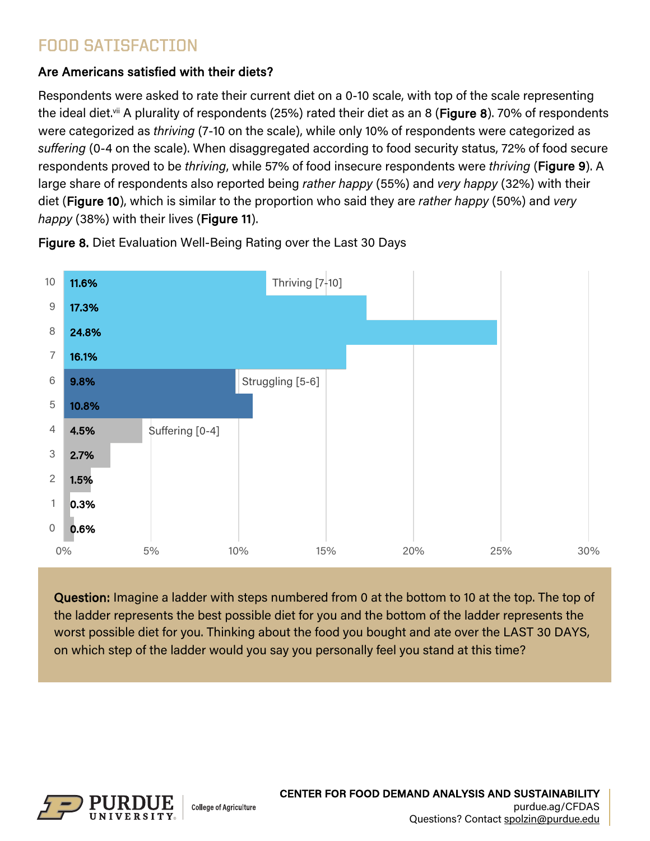## FOOD SATISFACTION

## Are Americans satisfied with their diets?

Respondents were asked to rate their current diet on a 0-10 scale, with top of the scale representing the ideal diet.<sup>vii</sup> A plurality of respondents (25%) rated their diet as an 8 (**Figure 8**). 70% of respondents were categorized as *thriving* (7-10 on the scale), while only 10% of respondents were categorized as *suffering* (0-4 on the scale). When disaggregated according to food security status, 72% of food secure respondents proved to be *thriving*, while 57% of food insecure respondents were *thriving* (Figure 9). A large share of respondents also reported being *rather happy* (55%) and *very happy* (32%) with their diet (Figure 10), which is similar to the proportion who said they are *rather happy* (50%) and *very happy* (38%) with their lives (Figure 11).



Figure 8. Diet Evaluation Well-Being Rating over the Last 30 Days

Question: Imagine a ladder with steps numbered from 0 at the bottom to 10 at the top. The top of the ladder represents the best possible diet for you and the bottom of the ladder represents the worst possible diet for you. Thinking about the food you bought and ate over the LAST 30 DAYS, on which step of the ladder would you say you personally feel you stand at this time?



Ĩ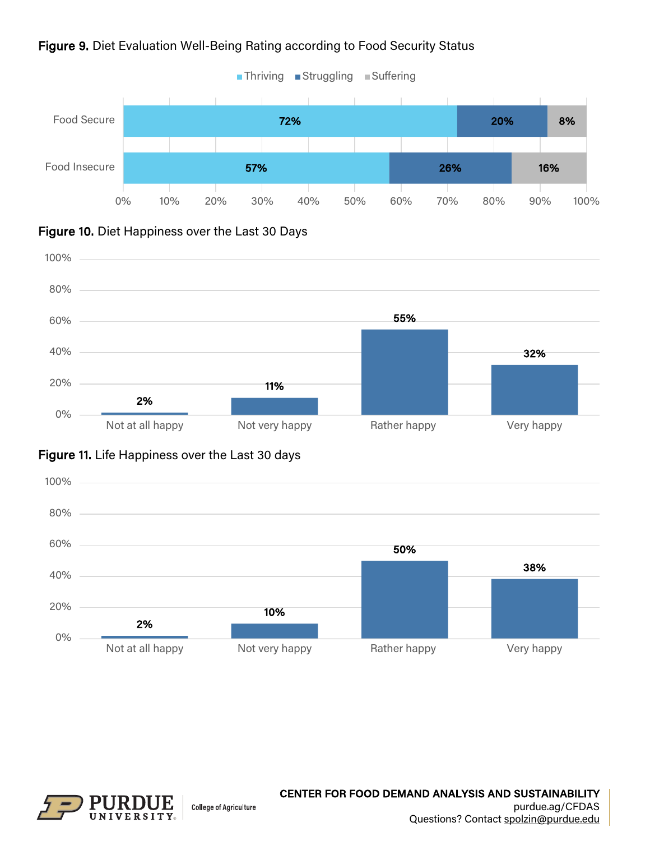

### Figure 9. Diet Evaluation Well-Being Rating according to Food Security Status





## Figure 11. Life Happiness over the Last 30 days



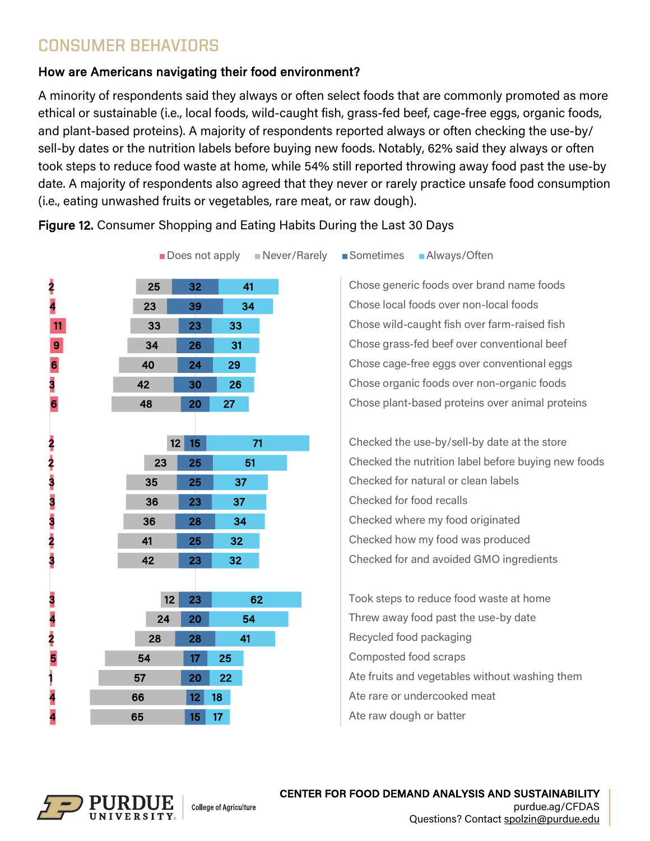## CONSUMER BEHAVIORS

 

> 

 

> 

## How are Americans navigating their food environment?

A minority of respondents said they always or often select foods that are commonly promoted as more ethical or sustainable (i.e., local foods, wild-caught fish, grass-fed beef, cage-free eggs, organic foods, and plant-based proteins). A majority of respondents reported always or often checking the use-by/ sell-by dates or the nutrition labels before buying new foods. Notably, 62% said they always or often took steps to reduce food waste at home, while 54% still reported throwing away food past the use-by date. A majority of respondents also agreed that they never or rarely practice unsafe food consumption (i.e., eating unwashed fruits or vegetables, rare meat, or raw dough).

Figure 12. Consumer Shopping and Eating Habits During the Last 30 Days



**Does not apply Never/Rarely Sometimes Always/Often** 

Chose generic foods over brand name foods Chose local foods over non-local foods Chose wild-caught fish over farm-raised fish Chose grass-fed beef over conventional beef Chose cage-free eggs over conventional eggs Chose organic foods over non-organic foods Chose plant-based proteins over animal proteins

Checked the use-by/sell-by date at the store Checked the nutrition label before buying new foods Checked for natural or clean labels Checked for food recalls Checked where my food originated Checked how my food was produced Checked for and avoided GMO ingredients

Took steps to reduce food waste at home Threw away food past the use-by date Recycled food packaging Composted food scraps Ate fruits and vegetables without washing them Ate rare or undercooked meat Ate raw dough or batter



 $15<sup>1</sup>$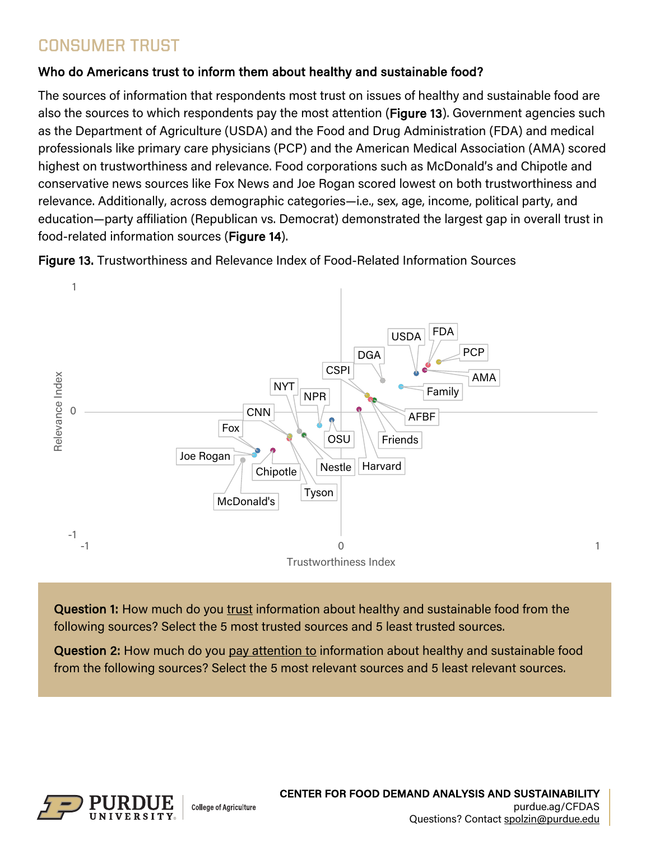## CONSUMER TRUST

### Who do Americans trust to inform them about healthy and sustainable food?

The sources of information that respondents most trust on issues of healthy and sustainable food are also the sources to which respondents pay the most attention (Figure 13). Government agencies such as the Department of Agriculture (USDA) and the Food and Drug Administration (FDA) and medical professionals like primary care physicians (PCP) and the American Medical Association (AMA) scored highest on trustworthiness and relevance. Food corporations such as McDonald's and Chipotle and conservative news sources like Fox News and Joe Rogan scored lowest on both trustworthiness and relevance. Additionally, across demographic categories—i.e., sex, age, income, political party, and education—party affiliation (Republican vs. Democrat) demonstrated the largest gap in overall trust in food-related information sources (Figure 14).

Figure 13. Trustworthiness and Relevance Index of Food-Related Information Sources



l, **Question 1:** How much do you <u>trust</u> information about healthy and sustainable food from the following sources? Select the 5 most trusted sources and 5 least trusted sources.

Question 2: How much do you pay attention to information about healthy and sustainable food from the following sources? Select the 5 most relevant sources and 5 least relevant sources.

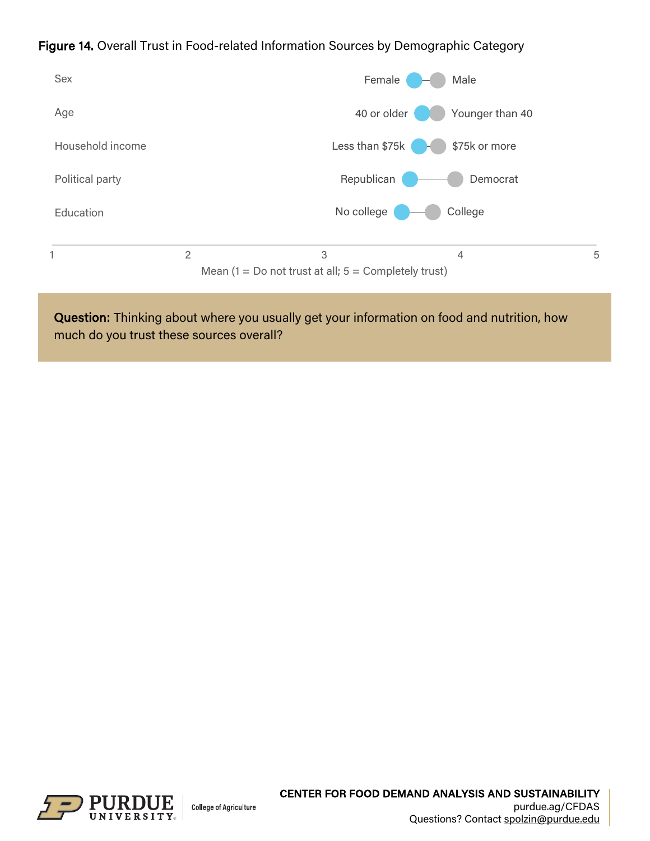### Figure 14. Overall Trust in Food-related Information Sources by Demographic Category



Question: Thinking about where you usually get your information on food and nutrition, how much do you trust these sources overall?

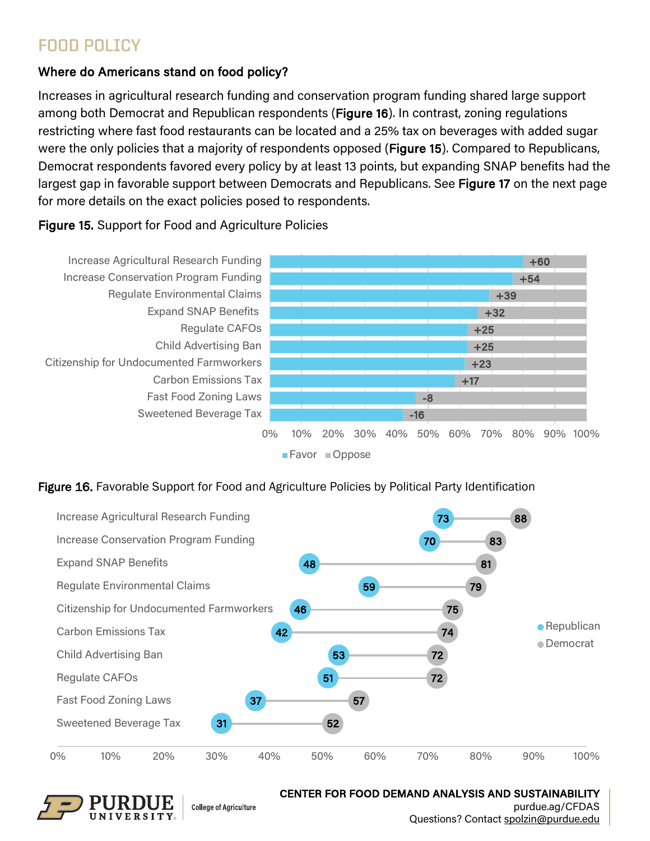## FOOD POLICY

## Where do Americans stand on food policy?

Increases in agricultural research funding and conservation program funding shared large support among both Democrat and Republican respondents (Figure 16). In contrast, zoning regulations restricting where fast food restaurants can be located and a 25% tax on beverages with added sugar were the only policies that a majority of respondents opposed (Figure 15). Compared to Republicans, Democrat respondents favored every policy by at least 13 points, but expanding SNAP benefits had the largest gap in favorable support between Democrats and Republicans. See Figure 17 on the next page for more details on the exact policies posed to respondents.

### Figure 15. Support for Food and Agriculture Policies



#### Figure 16. Favorable Support for Food and Agriculture Policies by Political Party Identification





**College of Agriculture** 

CENTER FOR FOOD DEMAND ANALYSIS AND SUSTAINABILITY purdue.ag/CFDAS

Questions? Contact spolzin@purdue.edu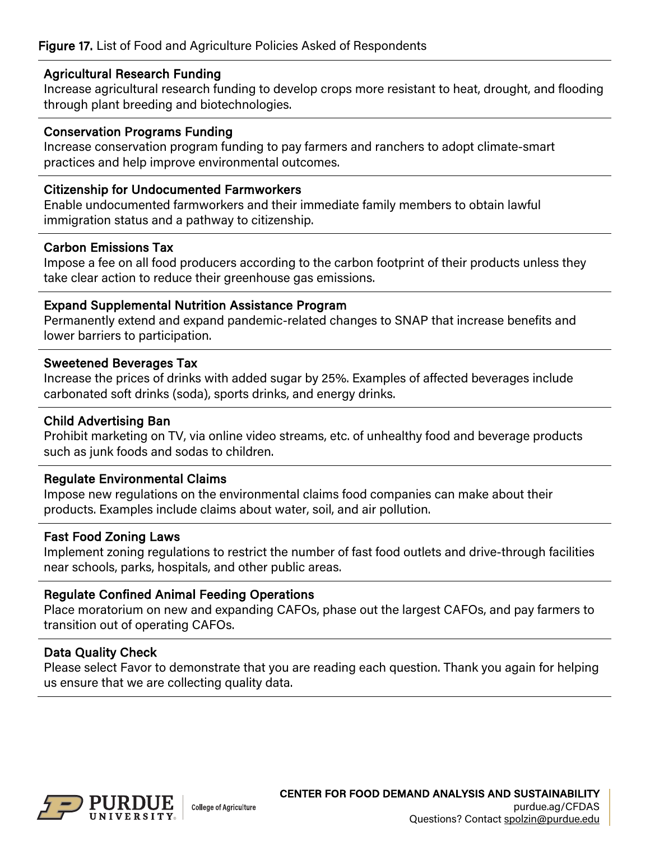#### Agricultural Research Funding

Increase agricultural research funding to develop crops more resistant to heat, drought, and flooding through plant breeding and biotechnologies.

#### Conservation Programs Funding

Increase conservation program funding to pay farmers and ranchers to adopt climate-smart practices and help improve environmental outcomes.

#### Citizenship for Undocumented Farmworkers

Enable undocumented farmworkers and their immediate family members to obtain lawful immigration status and a pathway to citizenship.

#### Carbon Emissions Tax

Impose a fee on all food producers according to the carbon footprint of their products unless they take clear action to reduce their greenhouse gas emissions.

#### Expand Supplemental Nutrition Assistance Program

Permanently extend and expand pandemic-related changes to SNAP that increase benefits and lower barriers to participation.

#### Sweetened Beverages Tax

Increase the prices of drinks with added sugar by 25%. Examples of affected beverages include carbonated soft drinks (soda), sports drinks, and energy drinks.

#### Child Advertising Ban

Prohibit marketing on TV, via online video streams, etc. of unhealthy food and beverage products such as junk foods and sodas to children.

### Regulate Environmental Claims

Impose new regulations on the environmental claims food companies can make about their products. Examples include claims about water, soil, and air pollution.

### Fast Food Zoning Laws

Implement zoning regulations to restrict the number of fast food outlets and drive-through facilities near schools, parks, hospitals, and other public areas.

### Regulate Confined Animal Feeding Operations

Place moratorium on new and expanding CAFOs, phase out the largest CAFOs, and pay farmers to transition out of operating CAFOs.

### Data Quality Check

Please select Favor to demonstrate that you are reading each question. Thank you again for helping us ensure that we are collecting quality data.

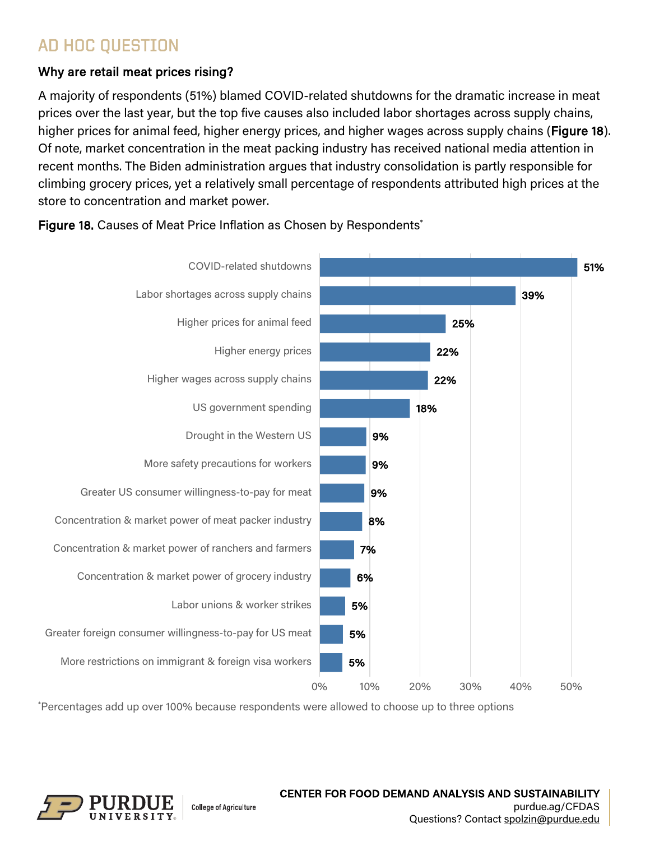## AD HOC QUESTION

### Why are retail meat prices rising?

A majority of respondents (51%) blamed COVID-related shutdowns for the dramatic increase in meat prices over the last year, but the top five causes also included labor shortages across supply chains, higher prices for animal feed, higher energy prices, and higher wages across supply chains (Figure 18). Of note, market concentration in the meat packing industry has received national media attention in recent months. The Biden administration argues that industry consolidation is partly responsible for climbing grocery prices, yet a relatively small percentage of respondents attributed high prices at the store to concentration and market power.



Figure 18. Causes of Meat Price Inflation as Chosen by Respondents<sup>\*</sup>

\* Percentages add up over 100% because respondents were allowed to choose up to three options